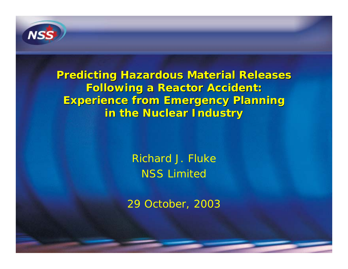

**Predicting Hazardous Material Releases Predicting Hazardous Material Releases Following a Reactor Accident: Following a Reactor Accident: Experience from Emergency Planning Experience from Emergency Planning in the Nuclear Industry in the Nuclear Industry**

> Richard J. FlukeNSS Limited

29 October, 2003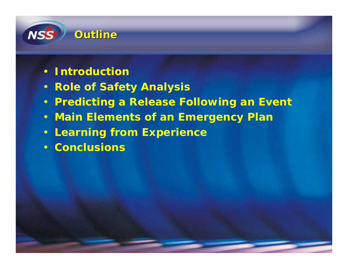

- **Introduction**
- **Role of Safety Analysis**
- **Predicting a Release Following an Event**
- **Main Elements of an Emergency Plan**
- **Learning from Experience**
- **Conclusions**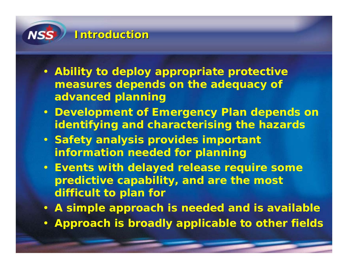

- **Ability to deploy appropriate protective measures depends on the adequacy of advanced planning**
- **Development of Emergency Plan depends on identifying and characterising the hazards**
- **Safety analysis provides important information needed for planning**
- **Events with delayed release require some predictive capability, and are the most difficult to plan for**
- **A simple approach is needed and is available**
- **Approach is broadly applicable to other fields**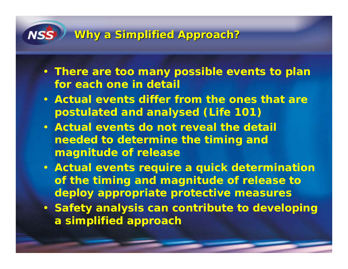# NS.

# **Why a Simplified Approach? Why a Simplified Approach?**

- **There are too many possible events to plan for each one in detail**
- **Actual events differ from the ones that are postulated and analysed (Life 101)**
- **Actual events do not reveal the detail needed to determine the timing and magnitude of release**
- **Actual events require a quick determination of the timing and magnitude of release to deploy appropriate protective measures**
- **Safety analysis can contribute to developing a simplified approach**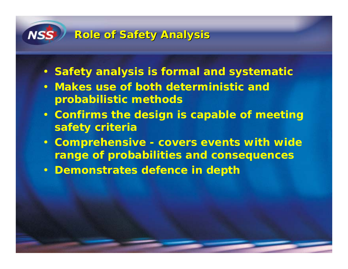# **Role of Safety Analysis Role of Safety Analysis**

NS.

- **Safety analysis is formal and systematic**
- **Makes use of both deterministic and probabilistic methods**
- **Confirms the design is capable of meeting safety criteria**
- **Comprehensive covers events with wide range of probabilities and consequences**
- **Demonstrates defence in depth**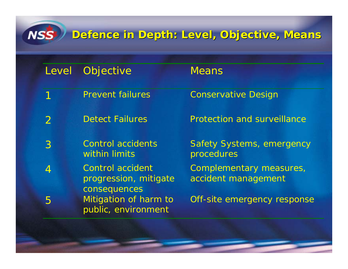# **Defence in Depth: Level, Objective, Means Defence in Depth: Level, Objective, Means**

| Level         | Objective                                                        | <b>Means</b>                                   |
|---------------|------------------------------------------------------------------|------------------------------------------------|
| 1             | <b>Prevent failures</b>                                          | <b>Conservative Design</b>                     |
| $\mathcal{P}$ | <b>Detect Failures</b>                                           | <b>Protection and surveillance</b>             |
| 3             | <b>Control accidents</b><br>within limits                        | <b>Safety Systems, emergency</b><br>procedures |
| 4             | <b>Control accident</b><br>progression, mitigate<br>consequences | Complementary measures,<br>accident management |
| 5             | Mitigation of harm to<br>public, environment                     | Off-site emergency response                    |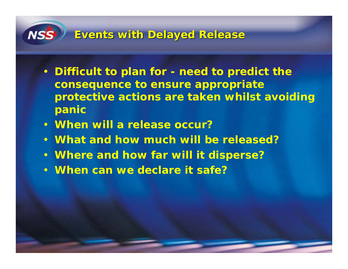

### **Events with Delayed Release Events with Delayed Release**

- **Difficult to plan for need to predict the consequence to ensure appropriate protective actions are taken whilst avoiding panic**
- **When will a release occur?**
- **What and how much will be released?**
- **Where and how far will it disperse?**
- **When can we declare it safe?**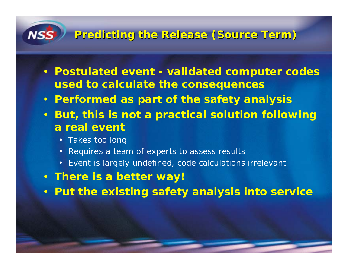## **Predicting the Release (Source Term) Predicting the Release (Source Term)**

- **Postulated event validated computer codes used to calculate the consequences**
- **Performed as part of the safety analysis**
- $\bullet$  **But, this is not a practical solution following a real event**
	- Takes too long

NS.

- •Requires a team of experts to assess results
- Event is largely undefined, code calculations irrelevant
- **There is a better way!**
- **Put the existing safety analysis into service**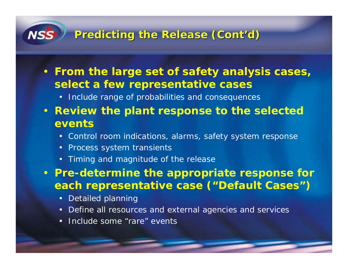# **Predicting the Release ( Predicting the Release (Cont'd )**

• **From the large set of safety analysis cases, select a few representative cases**

• Include range of probabilities and consequences

- **Review the plant response to the selected events**
	- Control room indications, alarms, safety system response
	- Process system transients
	- Timing and magnitude of the release

• **Pre-determine the appropriate response for each representative case ("Default Cases")**

- •Detailed planning
- •Define all resources and external agencies and services
- •Include some "rare" events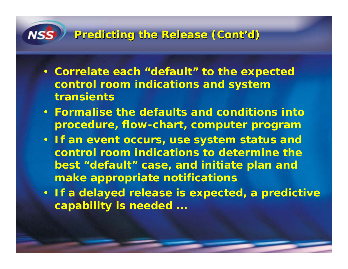# **Predicting the Release ( Predicting the Release (Cont'd )**

**NS** 

- **Correlate each "default" to the expected control room indications and system transients**
- **Formalise the defaults and conditions intoprocedure, flow-chart, computer program**
- **If an event occurs, use system status and control room indications to determine thebest "default" case, and initiate plan and make appropriate notifications**
- **If a delayed release is expected, a predictive capability is needed ...**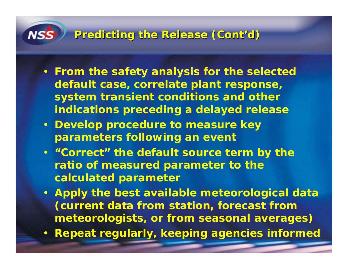# **Predicting the Release ( Predicting the Release (Cont'd )**

- **From the safety analysis for the selected default case, correlate plant response, system transient conditions and other indications preceding a delayed release**
- **Develop procedure to measure key parameters following an event**
- **"Correct" the default source term by the ratio of measured parameter to the calculated parameter**
- **Apply the best available meteorological data (current data from station, forecast from meteorologists, or from seasonal averages)**
- **Repeat regularly, keeping agencies informed**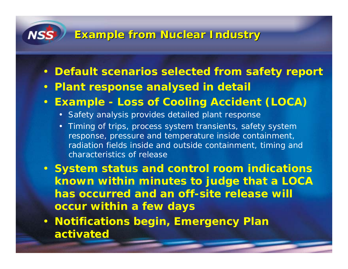### **Example from Nuclear Industry Example from Nuclear Industry**

- **Default scenarios selected from safety report**
- **Plant response analysed in detail**
- **Example Loss of Cooling Accident (LOCA)**
	- Safety analysis provides detailed plant response
	- • Timing of trips, process system transients, safety system response, pressure and temperature inside containment, radiation fields inside and outside containment, timing and characteristics of release
- **System status and control room indications known within minutes to judge that a LOCA has occurred and an off-site release will occur within a few days**
- **Notifications begin, Emergency Plan activated**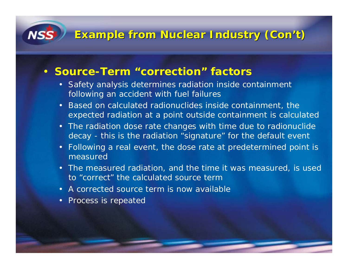### **Example from Nuclear Industry ( Example from Nuclear Industry (Con't )**

#### • **Source-Term "correction" factors**

- Safety analysis determines radiation inside containment following an accident with fuel failures
- •Based on calculated radionuclides inside containment, the expected radiation at a point outside containment is calculated
- • The radiation dose rate changes with time due to radionuclide decay - this is the radiation "signature" for the default event
- •Following a real event, the dose rate at predetermined point is measured
- The measured radiation, and the time it was measured, is used to "correct" the calculated source term
- A corrected source term is now available
- •Process is repeated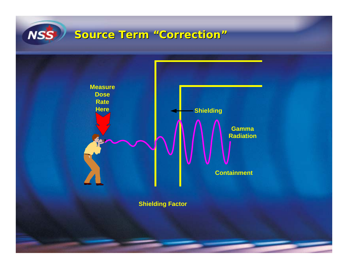# **NSS**

### **Source Term "Correction" Source Term "Correction"**



**Shielding Factor**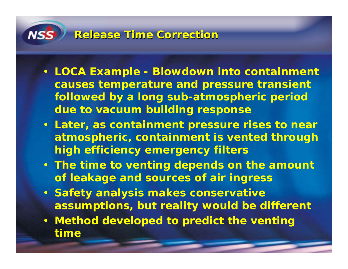# **Release Time Correction Release Time Correction**

- **LOCA Example Blowdown into containment causes temperature and pressure transient followed by a long sub-atmospheric period due to vacuum building response**
- **Later, as containment pressure rises to near atmospheric, containment is vented through high efficiency emergency filters**
- **The time to venting depends on the amount of leakage and sources of air ingress**
- **Safety analysis makes conservative assumptions, but reality would be different**
- **Method developed to predict the venting time**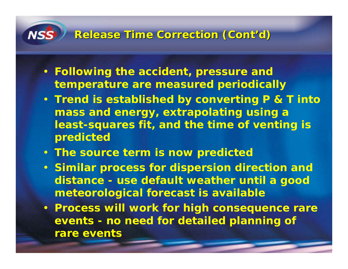### **Release Time Correction ( Release Time Correction (Cont'd )**

- **Following the accident, pressure and temperature are measured periodically**
- **Trend is established by converting P & T into mass and energy, extrapolating using a least-squares fit, and the time of venting is predicted**
- **The source term is now predicted**
- **Similar process for dispersion direction and distance - use default weather until a good meteorological forecast is available**
- **Process will work for high consequence rare events - no need for detailed planning of rare events**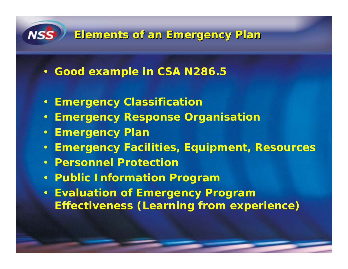

### **Elements of an Emergency Plan Elements of an Emergency Plan**

- **Good example in CSA N286.5**
- **Emergency Classification**
- **Emergency Response Organisation**
- **Emergency Plan**
- **Emergency Facilities, Equipment, Resources**
- **Personnel Protection**
- **Public Information Program**
- **Evaluation of Emergency Program Effectiveness (Learning from experience)**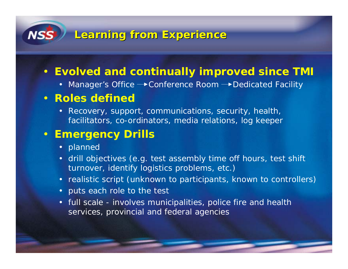# **Learning from Experience Learning from Experience**

### • **Evolved and continually improved since TMI**

• Manager's Office  $\longrightarrow$  Conference Room  $\longrightarrow$  Dedicated Facility

### • **Roles defined**

• Recovery, support, communications, security, health, facilitators, co-ordinators, media relations, log keeper

### • **Emergency Drills**

- planned
- • drill objectives (e.g. test assembly time off hours, test shift turnover, identify logistics problems, etc.)
- realistic script (unknown to participants, known to controllers)
- puts each role to the test
- full scale involves municipalities, police fire and health services, provincial and federal agencies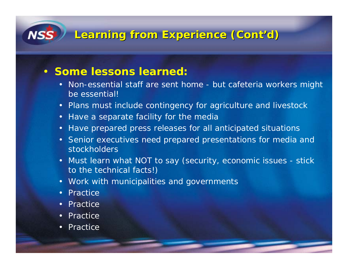# **Learning from Experience ( Learning from Experience (Cont'd )**

### • **Some lessons learned:**

- Non-essential staff are sent home but cafeteria workers might be essential!
- Plans must include contingency for agriculture and livestock
- •Have a separate facility for the media
- •Have prepared press releases for all anticipated situations
- • Senior executives need prepared presentations for media and stockholders
- • Must learn what NOT to say (security, economic issues - stick to the technical facts!)
- Work with municipalities and governments
- •**Practice**

**NSS** 

- •**Practice**
- •Practice
- •**Practice**